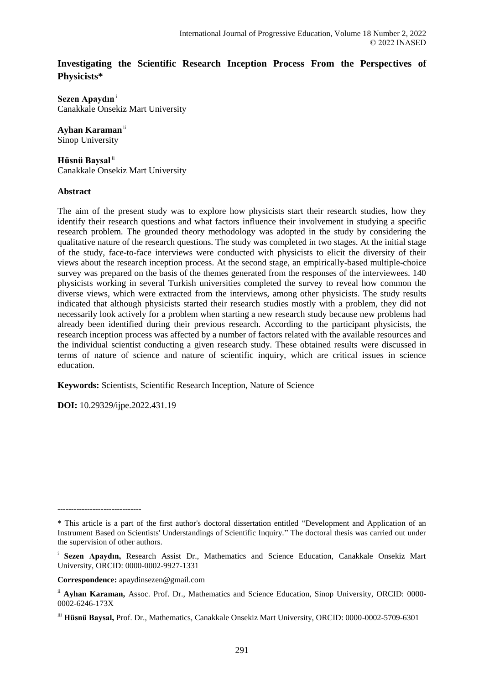# **Investigating the Scientific Research Inception Process From the Perspectives of Physicists\***

**Sezen Apaydın**<sup>i</sup> Canakkale Onsekiz Mart University

**Ayhan Karaman**ii

Sinop University

**Hüsnü Baysal** ii Canakkale Onsekiz Mart University

# **Abstract**

The aim of the present study was to explore how physicists start their research studies, how they identify their research questions and what factors influence their involvement in studying a specific research problem. The grounded theory methodology was adopted in the study by considering the qualitative nature of the research questions. The study was completed in two stages. At the initial stage of the study, face-to-face interviews were conducted with physicists to elicit the diversity of their views about the research inception process. At the second stage, an empirically-based multiple-choice survey was prepared on the basis of the themes generated from the responses of the interviewees. 140 physicists working in several Turkish universities completed the survey to reveal how common the diverse views, which were extracted from the interviews, among other physicists. The study results indicated that although physicists started their research studies mostly with a problem, they did not necessarily look actively for a problem when starting a new research study because new problems had already been identified during their previous research. According to the participant physicists, the research inception process was affected by a number of factors related with the available resources and the individual scientist conducting a given research study. These obtained results were discussed in terms of nature of science and nature of scientific inquiry, which are critical issues in science education.

**Keywords:** Scientists, Scientific Research Inception, Nature of Science

**DOI:** 10.29329/ijpe.2022.431.19

-------------------------------

**Correspondence:** apaydinsezen@gmail.com

<sup>\*</sup> This article is a part of the first author's doctoral dissertation entitled "Development and Application of an Instrument Based on Scientists' Understandings of Scientific Inquiry." The doctoral thesis was carried out under the supervision of other authors.

<sup>&</sup>lt;sup>i</sup> Sezen Apaydın, Research Assist Dr., Mathematics and Science Education, Canakkale Onsekiz Mart University, ORCID: 0000-0002-9927-1331

ii **Ayhan Karaman,** Assoc. Prof. Dr., Mathematics and Science Education, Sinop University, ORCID: 0000- 0002-6246-173X

iii **Hüsnü Baysal,** Prof. Dr., Mathematics, Canakkale Onsekiz Mart University, ORCID: 0000-0002-5709-6301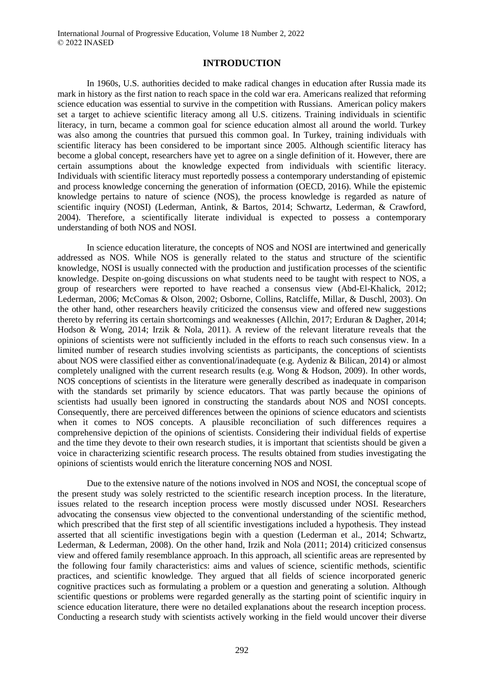#### **INTRODUCTION**

In 1960s, U.S. authorities decided to make radical changes in education after Russia made its mark in history as the first nation to reach space in the cold war era. Americans realized that reforming science education was essential to survive in the competition with Russians. American policy makers set a target to achieve scientific literacy among all U.S. citizens. Training individuals in scientific literacy, in turn, became a common goal for science education almost all around the world. Turkey was also among the countries that pursued this common goal. In Turkey, training individuals with scientific literacy has been considered to be important since 2005. Although scientific literacy has become a global concept, researchers have yet to agree on a single definition of it. However, there are certain assumptions about the knowledge expected from individuals with scientific literacy. Individuals with scientific literacy must reportedly possess a contemporary understanding of epistemic and process knowledge concerning the generation of information (OECD, 2016). While the epistemic knowledge pertains to nature of science (NOS), the process knowledge is regarded as nature of scientific inquiry (NOSI) (Lederman, Antink, & Bartos, 2014; Schwartz, Lederman, & Crawford, 2004). Therefore, a scientifically literate individual is expected to possess a contemporary understanding of both NOS and NOSI.

In science education literature, the concepts of NOS and NOSI are intertwined and generically addressed as NOS. While NOS is generally related to the status and structure of the scientific knowledge, NOSI is usually connected with the production and justification processes of the scientific knowledge. Despite on-going discussions on what students need to be taught with respect to NOS, a group of researchers were reported to have reached a consensus view (Abd-El-Khalick, 2012; Lederman, 2006; McComas & Olson, 2002; Osborne, Collins, Ratcliffe, Millar, & Duschl, 2003). On the other hand, other researchers heavily criticized the consensus view and offered new suggestions thereto by referring its certain shortcomings and weaknesses (Allchin, 2017; Erduran & Dagher, 2014; Hodson & Wong, 2014; Irzik & Nola, 2011). A review of the relevant literature reveals that the opinions of scientists were not sufficiently included in the efforts to reach such consensus view. In a limited number of research studies involving scientists as participants, the conceptions of scientists about NOS were classified either as conventional/inadequate (e.g. Aydeniz & Bilican, 2014) or almost completely unaligned with the current research results (e.g. Wong & Hodson, 2009). In other words, NOS conceptions of scientists in the literature were generally described as inadequate in comparison with the standards set primarily by science educators. That was partly because the opinions of scientists had usually been ignored in constructing the standards about NOS and NOSI concepts. Consequently, there are perceived differences between the opinions of science educators and scientists when it comes to NOS concepts. A plausible reconciliation of such differences requires a comprehensive depiction of the opinions of scientists. Considering their individual fields of expertise and the time they devote to their own research studies, it is important that scientists should be given a voice in characterizing scientific research process. The results obtained from studies investigating the opinions of scientists would enrich the literature concerning NOS and NOSI.

Due to the extensive nature of the notions involved in NOS and NOSI, the conceptual scope of the present study was solely restricted to the scientific research inception process. In the literature, issues related to the research inception process were mostly discussed under NOSI. Researchers advocating the consensus view objected to the conventional understanding of the scientific method, which prescribed that the first step of all scientific investigations included a hypothesis. They instead asserted that all scientific investigations begin with a question (Lederman et al., 2014; Schwartz, Lederman, & Lederman, 2008). On the other hand, Irzik and Nola (2011; 2014) criticized consensus view and offered family resemblance approach. In this approach, all scientific areas are represented by the following four family characteristics: aims and values of science, scientific methods, scientific practices, and scientific knowledge. They argued that all fields of science incorporated generic cognitive practices such as formulating a problem or a question and generating a solution. Although scientific questions or problems were regarded generally as the starting point of scientific inquiry in science education literature, there were no detailed explanations about the research inception process. Conducting a research study with scientists actively working in the field would uncover their diverse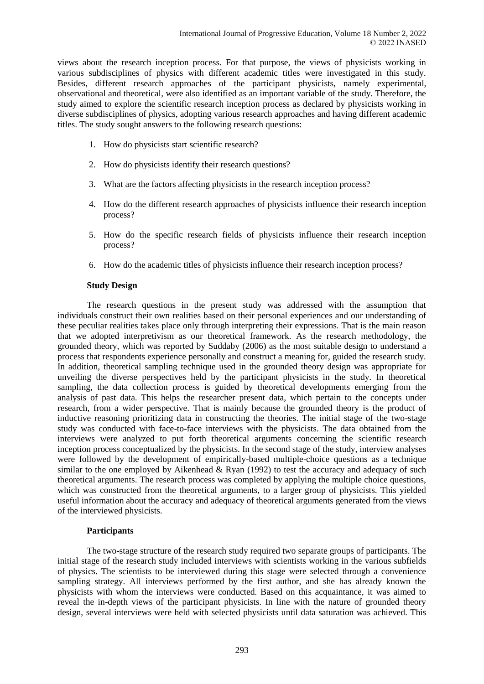views about the research inception process. For that purpose, the views of physicists working in various subdisciplines of physics with different academic titles were investigated in this study. Besides, different research approaches of the participant physicists, namely experimental, observational and theoretical, were also identified as an important variable of the study. Therefore, the study aimed to explore the scientific research inception process as declared by physicists working in diverse subdisciplines of physics, adopting various research approaches and having different academic titles. The study sought answers to the following research questions:

- 1. How do physicists start scientific research?
- 2. How do physicists identify their research questions?
- 3. What are the factors affecting physicists in the research inception process?
- 4. How do the different research approaches of physicists influence their research inception process?
- 5. How do the specific research fields of physicists influence their research inception process?
- 6. How do the academic titles of physicists influence their research inception process?

# **Study Design**

The research questions in the present study was addressed with the assumption that individuals construct their own realities based on their personal experiences and our understanding of these peculiar realities takes place only through interpreting their expressions. That is the main reason that we adopted interpretivism as our theoretical framework. As the research methodology, the grounded theory, which was reported by Suddaby (2006) as the most suitable design to understand a process that respondents experience personally and construct a meaning for, guided the research study. In addition, theoretical sampling technique used in the grounded theory design was appropriate for unveiling the diverse perspectives held by the participant physicists in the study. In theoretical sampling, the data collection process is guided by theoretical developments emerging from the analysis of past data. This helps the researcher present data, which pertain to the concepts under research, from a wider perspective. That is mainly because the grounded theory is the product of inductive reasoning prioritizing data in constructing the theories. The initial stage of the two-stage study was conducted with face-to-face interviews with the physicists. The data obtained from the interviews were analyzed to put forth theoretical arguments concerning the scientific research inception process conceptualized by the physicists. In the second stage of the study, interview analyses were followed by the development of empirically-based multiple-choice questions as a technique similar to the one employed by Aikenhead & Ryan (1992) to test the accuracy and adequacy of such theoretical arguments. The research process was completed by applying the multiple choice questions, which was constructed from the theoretical arguments, to a larger group of physicists. This yielded useful information about the accuracy and adequacy of theoretical arguments generated from the views of the interviewed physicists.

# **Participants**

The two-stage structure of the research study required two separate groups of participants. The initial stage of the research study included interviews with scientists working in the various subfields of physics. The scientists to be interviewed during this stage were selected through a convenience sampling strategy. All interviews performed by the first author, and she has already known the physicists with whom the interviews were conducted. Based on this acquaintance, it was aimed to reveal the in-depth views of the participant physicists. In line with the nature of grounded theory design, several interviews were held with selected physicists until data saturation was achieved. This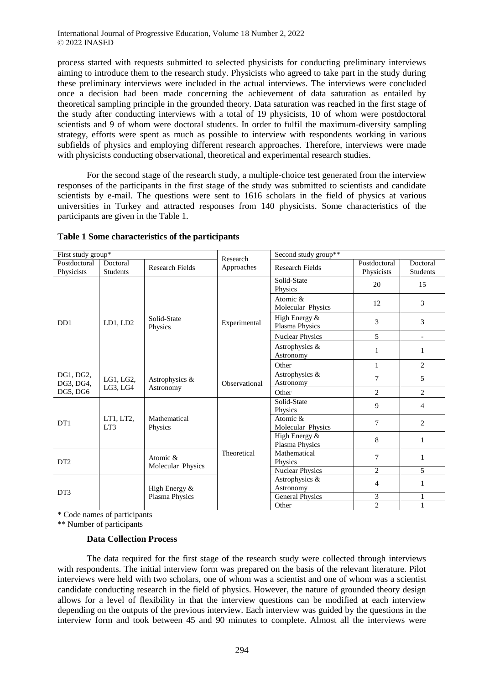process started with requests submitted to selected physicists for conducting preliminary interviews aiming to introduce them to the research study. Physicists who agreed to take part in the study during these preliminary interviews were included in the actual interviews. The interviews were concluded once a decision had been made concerning the achievement of data saturation as entailed by theoretical sampling principle in the grounded theory. Data saturation was reached in the first stage of the study after conducting interviews with a total of 19 physicists, 10 of whom were postdoctoral scientists and 9 of whom were doctoral students. In order to fulfil the maximum-diversity sampling strategy, efforts were spent as much as possible to interview with respondents working in various subfields of physics and employing different research approaches. Therefore, interviews were made with physicists conducting observational, theoretical and experimental research studies.

For the second stage of the research study, a multiple-choice test generated from the interview responses of the participants in the first stage of the study was submitted to scientists and candidate scientists by e-mail. The questions were sent to 1616 scholars in the field of physics at various universities in Turkey and attracted responses from 140 physicists. Some characteristics of the participants are given in the [Table 1.](#page-3-0)

| First study group*         |                             |                               | Research      | Second study group**             |                            |                             |  |  |  |  |  |  |
|----------------------------|-----------------------------|-------------------------------|---------------|----------------------------------|----------------------------|-----------------------------|--|--|--|--|--|--|
| Postdoctoral<br>Physicists | Doctoral<br><b>Students</b> | <b>Research Fields</b>        | Approaches    | <b>Research Fields</b>           | Postdoctoral<br>Physicists | Doctoral<br><b>Students</b> |  |  |  |  |  |  |
|                            |                             |                               |               | Solid-State<br>Physics           | 20                         | 15                          |  |  |  |  |  |  |
|                            |                             |                               |               | Atomic $\&$<br>Molecular Physics | 12                         | 3                           |  |  |  |  |  |  |
| D <sub>D</sub> 1           | LD1, LD2                    | Solid-State<br>Physics        | Experimental  | High Energy &<br>Plasma Physics  | 3                          | 3                           |  |  |  |  |  |  |
|                            |                             |                               |               | <b>Nuclear Physics</b>           | 5                          | $\overline{\phantom{a}}$    |  |  |  |  |  |  |
|                            |                             |                               |               | Astrophysics &<br>Astronomy      | 1                          | 1                           |  |  |  |  |  |  |
|                            |                             |                               |               | Other                            | 1                          | 2                           |  |  |  |  |  |  |
| DG1, DG2,<br>DG3, DG4,     | LG1, LG2,                   | Astrophysics &                | Observational | Astrophysics &<br>Astronomy      | 7                          | 5                           |  |  |  |  |  |  |
| DG5, DG6                   | LG3, LG4                    | Astronomy                     |               | Other                            | 2                          | 2                           |  |  |  |  |  |  |
|                            |                             |                               |               | Solid-State<br>Physics           | 9                          | $\overline{4}$              |  |  |  |  |  |  |
| D <sub>T1</sub>            | LT1, LT2,<br>LT3            | Mathematical<br>Physics       |               | Atomic $\&$<br>Molecular Physics | $\overline{7}$             | 2                           |  |  |  |  |  |  |
|                            |                             |                               |               | High Energy &<br>Plasma Physics  | 8                          | 1                           |  |  |  |  |  |  |
| DT <sub>2</sub>            |                             | Atomic &<br>Molecular Physics | Theoretical   | Mathematical<br>Physics          | 7                          | 1                           |  |  |  |  |  |  |
|                            |                             |                               |               | <b>Nuclear Physics</b>           | $\overline{2}$             | 5                           |  |  |  |  |  |  |
|                            |                             | High Energy &                 |               | Astrophysics &<br>Astronomy      | 4                          | 1                           |  |  |  |  |  |  |
| DT <sub>3</sub>            |                             | Plasma Physics                |               | General Physics                  | 3                          | $\mathbf{1}$                |  |  |  |  |  |  |
|                            |                             |                               |               | Other                            | $\overline{2}$             | $\mathbf{1}$                |  |  |  |  |  |  |

# <span id="page-3-0"></span>**Table 1 Some characteristics of the participants**

\* Code names of participants

\*\* Number of participants

# **Data Collection Process**

The data required for the first stage of the research study were collected through interviews with respondents. The initial interview form was prepared on the basis of the relevant literature. Pilot interviews were held with two scholars, one of whom was a scientist and one of whom was a scientist candidate conducting research in the field of physics. However, the nature of grounded theory design allows for a level of flexibility in that the interview questions can be modified at each interview depending on the outputs of the previous interview. Each interview was guided by the questions in the interview form and took between 45 and 90 minutes to complete. Almost all the interviews were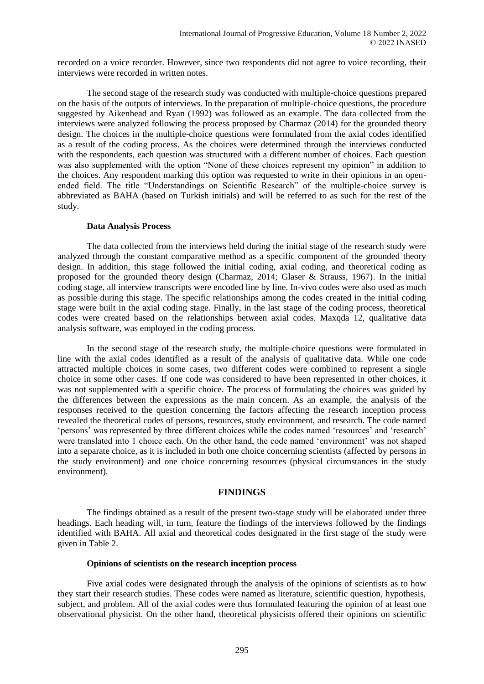recorded on a voice recorder. However, since two respondents did not agree to voice recording, their interviews were recorded in written notes.

The second stage of the research study was conducted with multiple-choice questions prepared on the basis of the outputs of interviews. In the preparation of multiple-choice questions, the procedure suggested by Aikenhead and Ryan (1992) was followed as an example. The data collected from the interviews were analyzed following the process proposed by Charmaz (2014) for the grounded theory design. The choices in the multiple-choice questions were formulated from the axial codes identified as a result of the coding process. As the choices were determined through the interviews conducted with the respondents, each question was structured with a different number of choices. Each question was also supplemented with the option "None of these choices represent my opinion" in addition to the choices. Any respondent marking this option was requested to write in their opinions in an openended field. The title "Understandings on Scientific Research" of the multiple-choice survey is abbreviated as BAHA (based on Turkish initials) and will be referred to as such for the rest of the study.

#### **Data Analysis Process**

The data collected from the interviews held during the initial stage of the research study were analyzed through the constant comparative method as a specific component of the grounded theory design. In addition, this stage followed the initial coding, axial coding, and theoretical coding as proposed for the grounded theory design (Charmaz, 2014; Glaser & Strauss, 1967). In the initial coding stage, all interview transcripts were encoded line by line. In-vivo codes were also used as much as possible during this stage. The specific relationships among the codes created in the initial coding stage were built in the axial coding stage. Finally, in the last stage of the coding process, theoretical codes were created based on the relationships between axial codes. Maxqda 12, qualitative data analysis software, was employed in the coding process.

In the second stage of the research study, the multiple-choice questions were formulated in line with the axial codes identified as a result of the analysis of qualitative data. While one code attracted multiple choices in some cases, two different codes were combined to represent a single choice in some other cases. If one code was considered to have been represented in other choices, it was not supplemented with a specific choice. The process of formulating the choices was guided by the differences between the expressions as the main concern. As an example, the analysis of the responses received to the question concerning the factors affecting the research inception process revealed the theoretical codes of persons, resources, study environment, and research. The code named 'persons' was represented by three different choices while the codes named 'resources' and 'research' were translated into 1 choice each. On the other hand, the code named 'environment' was not shaped into a separate choice, as it is included in both one choice concerning scientists (affected by persons in the study environment) and one choice concerning resources (physical circumstances in the study environment).

# **FINDINGS**

The findings obtained as a result of the present two-stage study will be elaborated under three headings. Each heading will, in turn, feature the findings of the interviews followed by the findings identified with BAHA. All axial and theoretical codes designated in the first stage of the study were given in [Table 2.](#page-5-0)

#### **Opinions of scientists on the research inception process**

Five axial codes were designated through the analysis of the opinions of scientists as to how they start their research studies. These codes were named as literature, scientific question, hypothesis, subject, and problem. All of the axial codes were thus formulated featuring the opinion of at least one observational physicist. On the other hand, theoretical physicists offered their opinions on scientific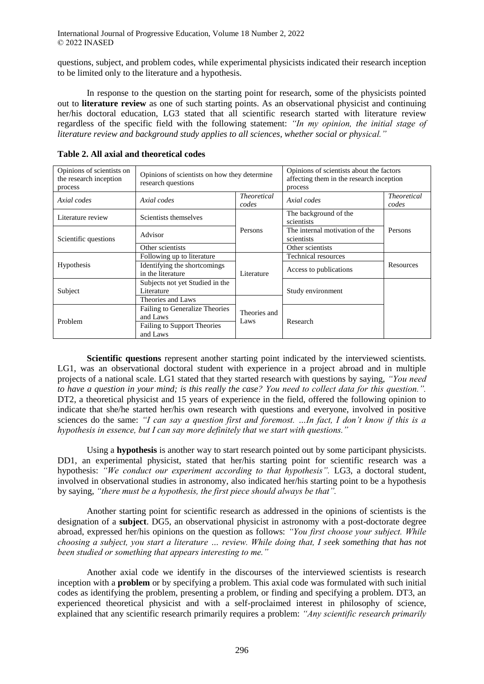questions, subject, and problem codes, while experimental physicists indicated their research inception to be limited only to the literature and a hypothesis.

In response to the question on the starting point for research, some of the physicists pointed out to **literature review** as one of such starting points. As an observational physicist and continuing her/his doctoral education, LG3 stated that all scientific research started with literature review regardless of the specific field with the following statement: *"In my opinion, the initial stage of literature review and background study applies to all sciences, whether social or physical."* 

| Opinions of scientists on<br>the research inception<br>process | Opinions of scientists on how they determine<br>research questions                           |                             | Opinions of scientists about the factors<br>affecting them in the research inception<br>process |                             |  |  |  |
|----------------------------------------------------------------|----------------------------------------------------------------------------------------------|-----------------------------|-------------------------------------------------------------------------------------------------|-----------------------------|--|--|--|
| Axial codes                                                    | Axial codes                                                                                  | <b>Theoretical</b><br>codes | Axial codes                                                                                     | <i>Theoretical</i><br>codes |  |  |  |
| Literature review                                              | Scientists themselves                                                                        |                             | The background of the<br>scientists                                                             |                             |  |  |  |
| Scientific questions                                           | Advisor                                                                                      | Persons                     | The internal motivation of the<br>scientists                                                    | Persons                     |  |  |  |
|                                                                | Other scientists                                                                             |                             | Other scientists                                                                                |                             |  |  |  |
|                                                                | Following up to literature                                                                   |                             | Technical resources                                                                             |                             |  |  |  |
| Hypothesis                                                     | Identifying the shortcomings<br>in the literature                                            | Literature                  | Access to publications                                                                          | Resources                   |  |  |  |
| Subject                                                        | Subjects not yet Studied in the<br>Literature                                                |                             | Study environment                                                                               |                             |  |  |  |
|                                                                | Theories and Laws                                                                            |                             |                                                                                                 |                             |  |  |  |
| Problem                                                        | Failing to Generalize Theories<br>and Laws<br><b>Failing to Support Theories</b><br>and Laws | Theories and<br>Laws        | Research                                                                                        |                             |  |  |  |

<span id="page-5-0"></span>

| Table 2. All axial and theoretical codes |
|------------------------------------------|
|------------------------------------------|

**Scientific questions** represent another starting point indicated by the interviewed scientists. LG1, was an observational doctoral student with experience in a project abroad and in multiple projects of a national scale. LG1 stated that they started research with questions by saying, *"You need to have a question in your mind; is this really the case? You need to collect data for this question.".*  DT2, a theoretical physicist and 15 years of experience in the field, offered the following opinion to indicate that she/he started her/his own research with questions and everyone, involved in positive sciences do the same: *"I can say a question first and foremost. …In fact, I don't know if this is a hypothesis in essence, but I can say more definitely that we start with questions."*

Using a **hypothesis** is another way to start research pointed out by some participant physicists. DD1, an experimental physicist, stated that her/his starting point for scientific research was a hypothesis: "We conduct our experiment according to that hypothesis". LG3, a doctoral student, involved in observational studies in astronomy, also indicated her/his starting point to be a hypothesis by saying, *"there must be a hypothesis, the first piece should always be that".*

Another starting point for scientific research as addressed in the opinions of scientists is the designation of a **subject**. DG5, an observational physicist in astronomy with a post-doctorate degree abroad, expressed her/his opinions on the question as follows: *"You first choose your subject. While choosing a subject, you start a literature … review. While doing that, I seek something that has not been studied or something that appears interesting to me."*

Another axial code we identify in the discourses of the interviewed scientists is research inception with a **problem** or by specifying a problem. This axial code was formulated with such initial codes as identifying the problem, presenting a problem, or finding and specifying a problem. DT3, an experienced theoretical physicist and with a self-proclaimed interest in philosophy of science, explained that any scientific research primarily requires a problem: *"Any scientific research primarily*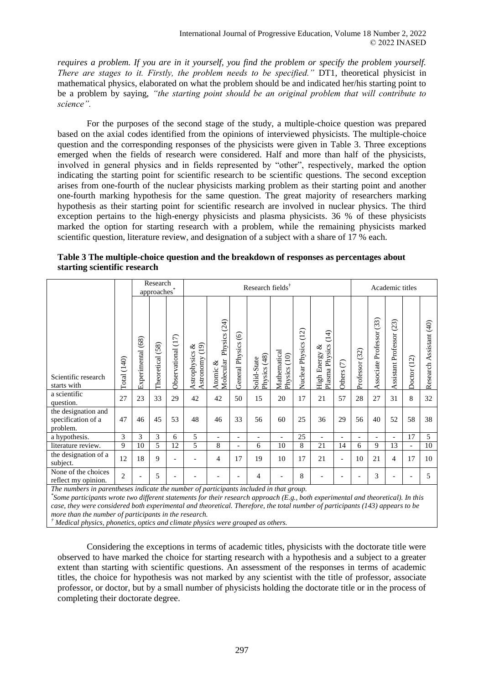*requires a problem. If you are in it yourself, you find the problem or specify the problem yourself. There are stages to it. Firstly, the problem needs to be specified."* DT1, theoretical physicist in mathematical physics, elaborated on what the problem should be and indicated her/his starting point to be a problem by saying, *"the starting point should be an original problem that will contribute to science".*

For the purposes of the second stage of the study, a multiple-choice question was prepared based on the axial codes identified from the opinions of interviewed physicists. The multiple-choice question and the corresponding responses of the physicists were given in [Table 3.](#page-6-0) Three exceptions emerged when the fields of research were considered. Half and more than half of the physicists, involved in general physics and in fields represented by "other", respectively, marked the option indicating the starting point for scientific research to be scientific questions. The second exception arises from one-fourth of the nuclear physicists marking problem as their starting point and another one-fourth marking hypothesis for the same question. The great majority of researchers marking hypothesis as their starting point for scientific research are involved in nuclear physics. The third exception pertains to the high-energy physicists and plasma physicists. 36 % of these physicists marked the option for starting research with a problem, while the remaining physicists marked scientific question, literature review, and designation of a subject with a share of 17 % each.

|                                                       |                |                      | Research<br>approaches <sup>*</sup> |                          |                                        |                                       |                               | Research fields <sup>†</sup>   |                              |                            |                                                      |                          | Academic titles          |                               |                             |                          |                            |  |
|-------------------------------------------------------|----------------|----------------------|-------------------------------------|--------------------------|----------------------------------------|---------------------------------------|-------------------------------|--------------------------------|------------------------------|----------------------------|------------------------------------------------------|--------------------------|--------------------------|-------------------------------|-----------------------------|--------------------------|----------------------------|--|
| Scientific research<br>starts with                    | (140)<br>Total | (68)<br>Experimental | (58)<br>Theoretical                 | Observational (17)       | (19)<br>ళ<br>Astrophysics<br>Astronomy | Physics (24)<br>Molecular<br>Atomic & | $\odot$<br>Physics<br>General | (48)<br>Solid-State<br>Physics | Mathematical<br>Physics (10) | (12)<br>Physics<br>Nuclear | $\overline{4}$<br>Plasma Physics<br>ళ<br>High Energy | $\in$<br>Others          | (32)<br>Professor        | (33)<br>Professor<br>ssociate | (23)<br>Assistant Professor | (12)<br>Doctor           | Assistant (40)<br>Research |  |
| a scientific<br>question.                             | 27             | 23                   | 33                                  | 29                       | 42                                     | 42                                    | 50                            | 15                             | 20                           | 17                         | 21                                                   | 57                       | 28                       | 27                            | 31                          | 8                        | 32                         |  |
| the designation and<br>specification of a<br>problem. | 47             | 46                   | 45                                  | 53                       | 48                                     | 46                                    | 33                            | 56                             | 60                           | 25                         | 36                                                   | 29                       | 56                       | 40                            | 52                          | 58                       | 38                         |  |
| a hypothesis.                                         | 3              | 3                    | 3                                   | 6                        | 5                                      | $\overline{\phantom{a}}$              | $\overline{\phantom{a}}$      | $\overline{\phantom{a}}$       | $\overline{\phantom{a}}$     | 25                         | $\overline{\phantom{a}}$                             | $\overline{\phantom{a}}$ | $\overline{\phantom{a}}$ | $\overline{\phantom{a}}$      | $\overline{\phantom{a}}$    | 17                       | 5                          |  |
| literature review.                                    | 9              | 10                   | 5                                   | 12                       | 5                                      | 8                                     | $\overline{\phantom{a}}$      | 6                              | 10                           | 8                          | 21                                                   | 14                       | 6                        | 9                             | 13                          | $\overline{\phantom{a}}$ | 10                         |  |
| the designation of a<br>subject.                      | 12             | 18                   | 9                                   | $\overline{\phantom{a}}$ |                                        | 4                                     | 17                            | 19                             | 10                           | 17                         | 21                                                   | $\overline{\phantom{a}}$ | 10                       | 21                            | 4                           | 17                       | 10                         |  |
| None of the choices<br>reflect my opinion.            | $\overline{2}$ |                      | 5                                   | $\overline{\phantom{a}}$ |                                        |                                       | $\overline{\phantom{a}}$      | 4                              |                              | 8                          |                                                      | $\overline{\phantom{a}}$ |                          | 3                             |                             |                          | 5                          |  |

<span id="page-6-0"></span>**Table 3 The multiple-choice question and the breakdown of responses as percentages about starting scientific research**

*The numbers in parentheses indicate the number of participants included in that group.*

*\* Some participants wrote two different statements for their research approach (E.g., both experimental and theoretical). In this case, they were considered both experimental and theoretical. Therefore, the total number of participants (143) appears to be more than the number of participants in the research.*

*† Medical physics, phonetics, optics and climate physics were grouped as others.*

Considering the exceptions in terms of academic titles, physicists with the doctorate title were observed to have marked the choice for starting research with a hypothesis and a subject to a greater extent than starting with scientific questions. An assessment of the responses in terms of academic titles, the choice for hypothesis was not marked by any scientist with the title of professor, associate professor, or doctor, but by a small number of physicists holding the doctorate title or in the process of completing their doctorate degree.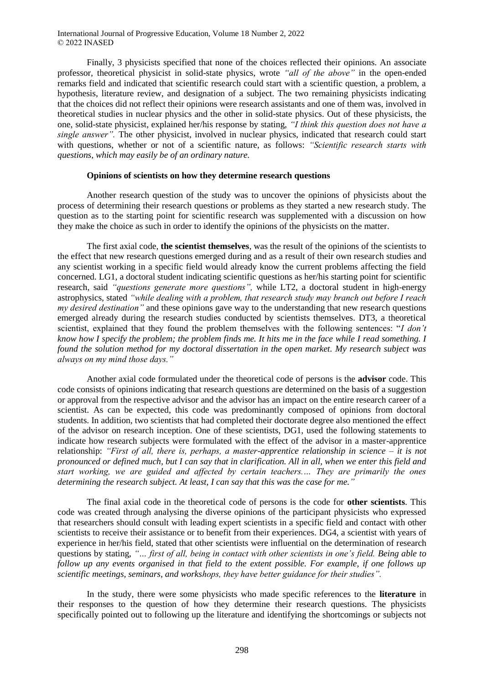Finally, 3 physicists specified that none of the choices reflected their opinions. An associate professor, theoretical physicist in solid-state physics, wrote *"all of the above"* in the open-ended remarks field and indicated that scientific research could start with a scientific question, a problem, a hypothesis, literature review, and designation of a subject. The two remaining physicists indicating that the choices did not reflect their opinions were research assistants and one of them was, involved in theoretical studies in nuclear physics and the other in solid-state physics. Out of these physicists, the one, solid-state physicist, explained her/his response by stating, *"I think this question does not have a single answer".* The other physicist, involved in nuclear physics, indicated that research could start with questions, whether or not of a scientific nature, as follows: *"Scientific research starts with questions, which may easily be of an ordinary nature.*

#### **Opinions of scientists on how they determine research questions**

Another research question of the study was to uncover the opinions of physicists about the process of determining their research questions or problems as they started a new research study. The question as to the starting point for scientific research was supplemented with a discussion on how they make the choice as such in order to identify the opinions of the physicists on the matter.

The first axial code, **the scientist themselves**, was the result of the opinions of the scientists to the effect that new research questions emerged during and as a result of their own research studies and any scientist working in a specific field would already know the current problems affecting the field concerned. LG1, a doctoral student indicating scientific questions as her/his starting point for scientific research, said *"questions generate more questions",* while LT2, a doctoral student in high-energy astrophysics, stated *"while dealing with a problem, that research study may branch out before I reach my desired destination"* and these opinions gave way to the understanding that new research questions emerged already during the research studies conducted by scientists themselves. DT3, a theoretical scientist, explained that they found the problem themselves with the following sentences: "*I don't know how I specify the problem; the problem finds me. It hits me in the face while I read something. I found the solution method for my doctoral dissertation in the open market. My research subject was always on my mind those days."*

Another axial code formulated under the theoretical code of persons is the **advisor** code. This code consists of opinions indicating that research questions are determined on the basis of a suggestion or approval from the respective advisor and the advisor has an impact on the entire research career of a scientist. As can be expected, this code was predominantly composed of opinions from doctoral students. In addition, two scientists that had completed their doctorate degree also mentioned the effect of the advisor on research inception. One of these scientists, DG1, used the following statements to indicate how research subjects were formulated with the effect of the advisor in a master-apprentice relationship: *"First of all, there is, perhaps, a master-apprentice relationship in science – it is not pronounced or defined much, but I can say that in clarification. All in all, when we enter this field and start working, we are guided and affected by certain teachers.… They are primarily the ones determining the research subject. At least, I can say that this was the case for me."*

The final axial code in the theoretical code of persons is the code for **other scientists**. This code was created through analysing the diverse opinions of the participant physicists who expressed that researchers should consult with leading expert scientists in a specific field and contact with other scientists to receive their assistance or to benefit from their experiences*.* DG4, a scientist with years of experience in her/his field, stated that other scientists were influential on the determination of research questions by stating, *"… first of all, being in contact with other scientists in one's field. Being able to follow up any events organised in that field to the extent possible. For example, if one follows up scientific meetings, seminars, and workshops, they have better guidance for their studies".*

In the study, there were some physicists who made specific references to the **literature** in their responses to the question of how they determine their research questions. The physicists specifically pointed out to following up the literature and identifying the shortcomings or subjects not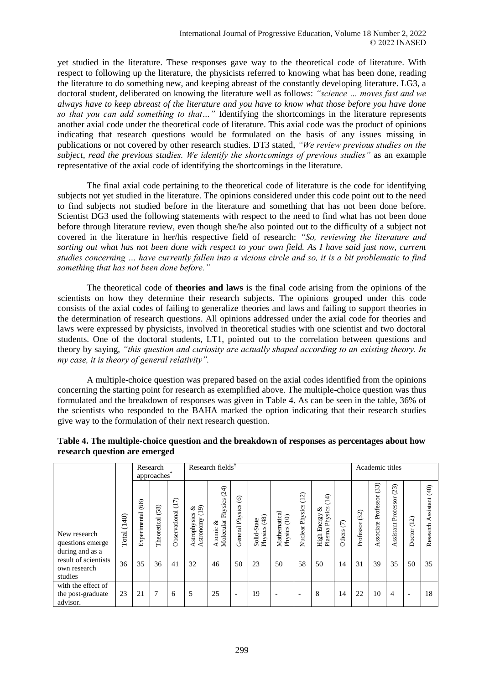yet studied in the literature. These responses gave way to the theoretical code of literature. With respect to following up the literature, the physicists referred to knowing what has been done, reading the literature to do something new, and keeping abreast of the constantly developing literature. LG3, a doctoral student, deliberated on knowing the literature well as follows: *"science … moves fast and we always have to keep abreast of the literature and you have to know what those before you have done so that you can add something to that…"* Identifying the shortcomings in the literature represents another axial code under the theoretical code of literature. This axial code was the product of opinions indicating that research questions would be formulated on the basis of any issues missing in publications or not covered by other research studies. DT3 stated, *"We review previous studies on the subject, read the previous studies. We identify the shortcomings of previous studies"* as an example representative of the axial code of identifying the shortcomings in the literature.

The final axial code pertaining to the theoretical code of literature is the code for identifying subjects not yet studied in the literature. The opinions considered under this code point out to the need to find subjects not studied before in the literature and something that has not been done before. Scientist DG3 used the following statements with respect to the need to find what has not been done before through literature review, even though she/he also pointed out to the difficulty of a subject not covered in the literature in her/his respective field of research: *"So, reviewing the literature and sorting out what has not been done with respect to your own field. As I have said just now, current studies concerning … have currently fallen into a vicious circle and so, it is a bit problematic to find something that has not been done before."*

The theoretical code of **theories and laws** is the final code arising from the opinions of the scientists on how they determine their research subjects. The opinions grouped under this code consists of the axial codes of failing to generalize theories and laws and failing to support theories in the determination of research questions. All opinions addressed under the axial code for theories and laws were expressed by physicists, involved in theoretical studies with one scientist and two doctoral students. One of the doctoral students, LT1, pointed out to the correlation between questions and theory by saying, *"this question and curiosity are actually shaped according to an existing theory. In my case, it is theory of general relativity".*

A multiple-choice question was prepared based on the axial codes identified from the opinions concerning the starting point for research as exemplified above. The multiple-choice question was thus formulated and the breakdown of responses was given in [Table 4.](#page-8-0) As can be seen in the table, 36% of the scientists who responded to the BAHA marked the option indicating that their research studies give way to the formulation of their next research question.

|                                                                    |                | Research<br>approaches* |                  |                       | Research fields <sup>T</sup>            |                                             | Academic titles                   |                             |                                 |                          |                                               |                      |                   |                               |                            |                                        |                                         |
|--------------------------------------------------------------------|----------------|-------------------------|------------------|-----------------------|-----------------------------------------|---------------------------------------------|-----------------------------------|-----------------------------|---------------------------------|--------------------------|-----------------------------------------------|----------------------|-------------------|-------------------------------|----------------------------|----------------------------------------|-----------------------------------------|
| New research<br>questions emerge                                   | (140)<br>Total | (68)<br>Experimental    | Theoretical (58) | (17)<br>Observational | $rac{8}{19}$<br>strophysics<br>stronomy | (24)<br>Physics<br>Molecular<br>ళ<br>Atomic | $\odot$<br><b>General Physics</b> | Physics (48)<br>Solid-State | Mathematical<br>(10)<br>Physics | (12)<br>Nuclear Physics  | (14)<br>Plasma Physics<br>ళ<br>Energy<br>High | $\epsilon$<br>Others | (32)<br>Professor | (33)<br>Professor<br>ssociate | (23)<br>ssistant Professor | $\widehat{\mathcal{C}}$<br>Ë<br>Doctor | (40)<br>ssistant<br>esearch<br>$\alpha$ |
| during and as a<br>result of scientists<br>own research<br>studies | 36             | 35                      | 36               | 41                    | 32                                      | 46                                          | 50                                | 23                          | 50                              | 58                       | 50                                            | 14                   | 31                | 39                            | 35                         | 50                                     | 35                                      |
| with the effect of<br>the post-graduate<br>advisor.                | 23             | 21                      | 7                | 6                     | 5                                       | 25                                          | $\overline{\phantom{a}}$          | 19                          | $\overline{\phantom{a}}$        | $\overline{\phantom{a}}$ | 8                                             | 14                   | 22                | 10                            | $\overline{4}$             |                                        | 18                                      |

# <span id="page-8-0"></span>**Table 4. The multiple-choice question and the breakdown of responses as percentages about how research question are emerged**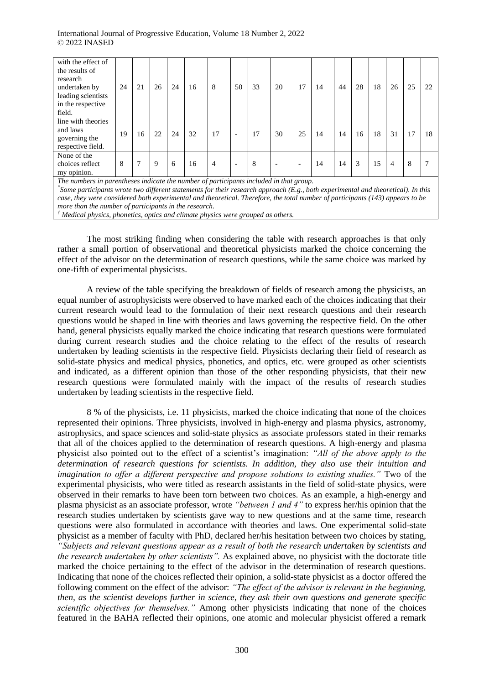| with the effect of<br>the results of<br>research<br>undertaken by<br>leading scientists<br>in the respective<br>field.                                                                                                                                                                                                                                     | 24 | 21 | 26 | 24 | 16 | 8  | 50                       | 33 | 20                       | 17 | 14 | 44 | 28 | 18 | 26             | 25 | 22 |
|------------------------------------------------------------------------------------------------------------------------------------------------------------------------------------------------------------------------------------------------------------------------------------------------------------------------------------------------------------|----|----|----|----|----|----|--------------------------|----|--------------------------|----|----|----|----|----|----------------|----|----|
| line with theories<br>and laws<br>governing the<br>respective field.                                                                                                                                                                                                                                                                                       | 19 | 16 | 22 | 24 | 32 | 17 | $\overline{\phantom{a}}$ | 17 | 30                       | 25 | 14 | 14 | 16 | 18 | 31             | 17 | 18 |
| None of the<br>choices reflect<br>my opinion.                                                                                                                                                                                                                                                                                                              | 8  | 7  | 9  | 6  | 16 | 4  | $\overline{\phantom{a}}$ | 8  | $\overline{\phantom{a}}$ |    | 14 | 14 | 3  | 15 | $\overline{4}$ | 8  |    |
| The numbers in parentheses indicate the number of participants included in that group.<br>Some participants wrote two different statements for their research approach (E.g., both experimental and theoretical). In this<br>case, they were considered both experimental and theoretical. Therefore, the total number of participants (143) appears to be |    |    |    |    |    |    |                          |    |                          |    |    |    |    |    |                |    |    |

*more than the number of participants in the research. † Medical physics, phonetics, optics and climate physics were grouped as others.* 

The most striking finding when considering the table with research approaches is that only rather a small portion of observational and theoretical physicists marked the choice concerning the effect of the advisor on the determination of research questions, while the same choice was marked by one-fifth of experimental physicists.

A review of the table specifying the breakdown of fields of research among the physicists, an equal number of astrophysicists were observed to have marked each of the choices indicating that their current research would lead to the formulation of their next research questions and their research questions would be shaped in line with theories and laws governing the respective field. On the other hand, general physicists equally marked the choice indicating that research questions were formulated during current research studies and the choice relating to the effect of the results of research undertaken by leading scientists in the respective field. Physicists declaring their field of research as solid-state physics and medical physics, phonetics, and optics, etc. were grouped as other scientists and indicated, as a different opinion than those of the other responding physicists, that their new research questions were formulated mainly with the impact of the results of research studies undertaken by leading scientists in the respective field.

8 % of the physicists, i.e. 11 physicists, marked the choice indicating that none of the choices represented their opinions. Three physicists, involved in high-energy and plasma physics, astronomy, astrophysics, and space sciences and solid-state physics as associate professors stated in their remarks that all of the choices applied to the determination of research questions. A high-energy and plasma physicist also pointed out to the effect of a scientist's imagination: *"All of the above apply to the determination of research questions for scientists. In addition, they also use their intuition and imagination to offer a different perspective and propose solutions to existing studies."* Two of the experimental physicists, who were titled as research assistants in the field of solid-state physics, were observed in their remarks to have been torn between two choices. As an example, a high-energy and plasma physicist as an associate professor, wrote *"between 1 and 4"* to express her/his opinion that the research studies undertaken by scientists gave way to new questions and at the same time, research questions were also formulated in accordance with theories and laws. One experimental solid-state physicist as a member of faculty with PhD, declared her/his hesitation between two choices by stating, *"Subjects and relevant questions appear as a result of both the research undertaken by scientists and the research undertaken by other scientists".* As explained above, no physicist with the doctorate title marked the choice pertaining to the effect of the advisor in the determination of research questions. Indicating that none of the choices reflected their opinion, a solid-state physicist as a doctor offered the following comment on the effect of the advisor: *"The effect of the advisor is relevant in the beginning, then, as the scientist develops further in science, they ask their own questions and generate specific scientific objectives for themselves."* Among other physicists indicating that none of the choices featured in the BAHA reflected their opinions, one atomic and molecular physicist offered a remark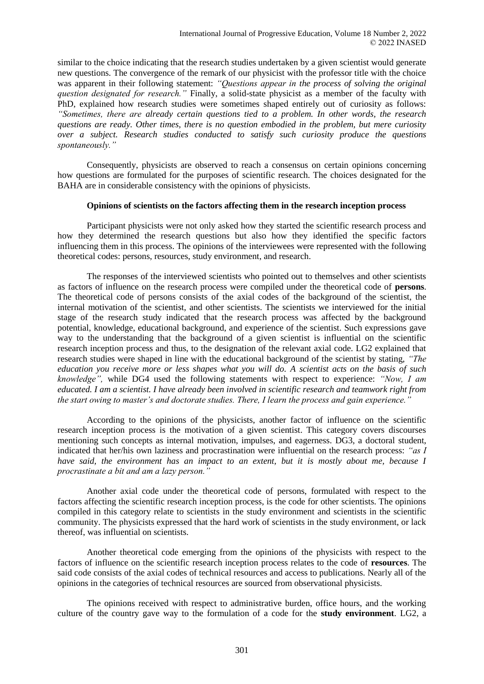similar to the choice indicating that the research studies undertaken by a given scientist would generate new questions. The convergence of the remark of our physicist with the professor title with the choice was apparent in their following statement: *"Questions appear in the process of solving the original question designated for research."* Finally, a solid-state physicist as a member of the faculty with PhD, explained how research studies were sometimes shaped entirely out of curiosity as follows: *"Sometimes, there are already certain questions tied to a problem. In other words, the research questions are ready. Other times, there is no question embodied in the problem, but mere curiosity over a subject. Research studies conducted to satisfy such curiosity produce the questions spontaneously."*

Consequently, physicists are observed to reach a consensus on certain opinions concerning how questions are formulated for the purposes of scientific research. The choices designated for the BAHA are in considerable consistency with the opinions of physicists.

#### **Opinions of scientists on the factors affecting them in the research inception process**

Participant physicists were not only asked how they started the scientific research process and how they determined the research questions but also how they identified the specific factors influencing them in this process. The opinions of the interviewees were represented with the following theoretical codes: persons, resources, study environment, and research.

The responses of the interviewed scientists who pointed out to themselves and other scientists as factors of influence on the research process were compiled under the theoretical code of **persons**. The theoretical code of persons consists of the axial codes of the background of the scientist, the internal motivation of the scientist, and other scientists. The scientists we interviewed for the initial stage of the research study indicated that the research process was affected by the background potential, knowledge, educational background, and experience of the scientist. Such expressions gave way to the understanding that the background of a given scientist is influential on the scientific research inception process and thus, to the designation of the relevant axial code. LG2 explained that research studies were shaped in line with the educational background of the scientist by stating, *"The education you receive more or less shapes what you will do. A scientist acts on the basis of such knowledge",* while DG4 used the following statements with respect to experience: *"Now, I am educated. I am a scientist. I have already been involved in scientific research and teamwork right from the start owing to master's and doctorate studies. There, I learn the process and gain experience."*

According to the opinions of the physicists, another factor of influence on the scientific research inception process is the motivation of a given scientist. This category covers discourses mentioning such concepts as internal motivation, impulses, and eagerness. DG3, a doctoral student, indicated that her/his own laziness and procrastination were influential on the research process: *"as I have said, the environment has an impact to an extent, but it is mostly about me, because I procrastinate a bit and am a lazy person."* 

Another axial code under the theoretical code of persons, formulated with respect to the factors affecting the scientific research inception process, is the code for other scientists. The opinions compiled in this category relate to scientists in the study environment and scientists in the scientific community. The physicists expressed that the hard work of scientists in the study environment, or lack thereof, was influential on scientists.

Another theoretical code emerging from the opinions of the physicists with respect to the factors of influence on the scientific research inception process relates to the code of **resources**. The said code consists of the axial codes of technical resources and access to publications. Nearly all of the opinions in the categories of technical resources are sourced from observational physicists.

The opinions received with respect to administrative burden, office hours, and the working culture of the country gave way to the formulation of a code for the **study environment**. LG2, a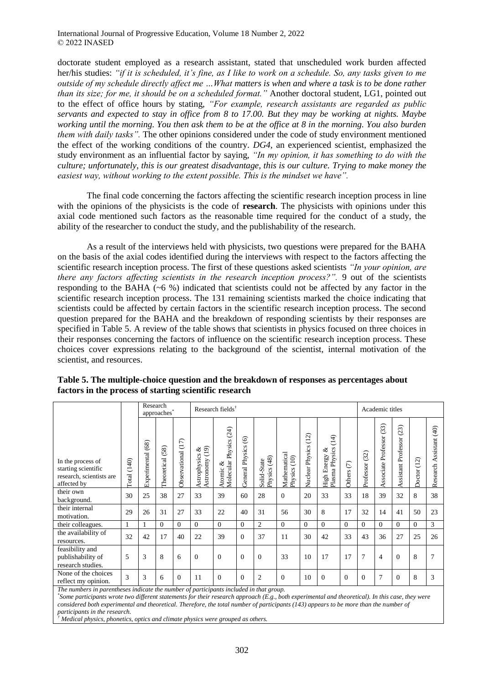doctorate student employed as a research assistant, stated that unscheduled work burden affected her/his studies: *"if it is scheduled, it's fine, as I like to work on a schedule. So, any tasks given to me outside of my schedule directly affect me …What matters is when and where a task is to be done rather than its size; for me, it should be on a scheduled format."* Another doctoral student, LG1, pointed out to the effect of office hours by stating, *"For example, research assistants are regarded as public servants and expected to stay in office from 8 to 17.00. But they may be working at nights. Maybe working until the morning. You then ask them to be at the office at 8 in the morning. You also burden them with daily tasks".* The other opinions considered under the code of study environment mentioned the effect of the working conditions of the country. *DG4,* an experienced scientist, emphasized the study environment as an influential factor by saying, *"In my opinion, it has something to do with the culture; unfortunately, this is our greatest disadvantage, this is our culture. Trying to make money the easiest way, without working to the extent possible. This is the mindset we have".*

The final code concerning the factors affecting the scientific research inception process in line with the opinions of the physicists is the code of **research**. The physicists with opinions under this axial code mentioned such factors as the reasonable time required for the conduct of a study, the ability of the researcher to conduct the study, and the publishability of the research.

As a result of the interviews held with physicists, two questions were prepared for the BAHA on the basis of the axial codes identified during the interviews with respect to the factors affecting the scientific research inception process. The first of these questions asked scientists *"In your opinion, are there any factors affecting scientists in the research inception process?".* 9 out of the scientists responding to the BAHA ( $\sim$ 6 %) indicated that scientists could not be affected by any factor in the scientific research inception process. The 131 remaining scientists marked the choice indicating that scientists could be affected by certain factors in the scientific research inception process. The second question prepared for the BAHA and the breakdown of responding scientists by their responses are specified in [Table 5.](#page-11-0) A review of the table shows that scientists in physics focused on three choices in their responses concerning the factors of influence on the scientific research inception process. These choices cover expressions relating to the background of the scientist, internal motivation of the scientist, and resources.

|                                                                                     |             | Research<br>approaches* |                    |                    |                                                              | Research fields <sup>†</sup>             |                                      | Academic titles             |                              |                            |                                                          |            |                   |                                |                                |                |                            |
|-------------------------------------------------------------------------------------|-------------|-------------------------|--------------------|--------------------|--------------------------------------------------------------|------------------------------------------|--------------------------------------|-----------------------------|------------------------------|----------------------------|----------------------------------------------------------|------------|-------------------|--------------------------------|--------------------------------|----------------|----------------------------|
| In the process of<br>starting scientific<br>research, scientists are<br>affected by | Total (140) | (68)<br>Experimental    | 58)<br>Theoretical | Observational (17) | $\widehat{\mathcal{L}}$<br>ళ<br>Astronomy (1<br>Astrophysics | (24)<br>Molecular Physics<br>ళ<br>Atomic | $\circledcirc$<br>Physics<br>General | Physics (48)<br>Solid-State | Mathematical<br>Physics (10) | (12)<br>Physics<br>Nuclear | $\overline{14}$<br>Physics<br>ళ<br>High Energy<br>Plasma | Others (7) | (32)<br>Professor | (33)<br>Professor<br>Associate | (23)<br>Professor<br>Assistant | (12)<br>Doctor | Assistant (40)<br>Research |
| their own<br>background.                                                            | 30          | 25                      | 38                 | 27                 | 33                                                           | 39                                       | 60                                   | 28                          | $\Omega$                     | 20                         | 33                                                       | 33         | 18                | 39                             | 32                             | 8              | 38                         |
| their internal<br>motivation.                                                       | 29          | 26                      | 31                 | 27                 | 33                                                           | 22                                       | 40                                   | 31                          | 56                           | 30                         | 8                                                        | 17         | 32                | 14                             | 41                             | 50             | 23                         |
| their colleagues.                                                                   |             |                         | $\Omega$           | $\theta$           | $\Omega$                                                     | $\Omega$                                 | $\overline{0}$                       | $\overline{2}$              | $\mathbf{0}$                 | $\theta$                   | $\mathbf{0}$                                             | $\Omega$   | $\Omega$          | $\theta$                       | $\overline{0}$                 | $\Omega$       | 3                          |
| the availability of<br>resources.                                                   | 32          | 42                      | 17                 | 40                 | 22                                                           | 39                                       | $\overline{0}$                       | 37                          | 11                           | 30                         | 42                                                       | 33         | 43                | 36                             | 27                             | 25             | 26                         |
| feasibility and<br>publishability of<br>research studies.                           | 5           | 3                       | 8                  | 6                  | $\Omega$                                                     | $\Omega$                                 | $\overline{0}$                       | $\Omega$                    | 33                           | 10                         | 17                                                       | 17         | 7                 | $\overline{4}$                 | $\Omega$                       | 8              | $\overline{7}$             |
| None of the choices<br>reflect my opinion.                                          | 3           | 3                       | 6                  | $\Omega$           | 11                                                           | $\Omega$                                 | $\overline{0}$                       | $\overline{2}$              | $\Omega$                     | 10                         | $\Omega$                                                 | $\Omega$   | $\Omega$          | 7                              | $\Omega$                       | 8              | 3                          |

<span id="page-11-0"></span>**Table 5. The multiple-choice question and the breakdown of responses as percentages about factors in the process of starting scientific research**

*The numbers in parentheses indicate the number of participants included in that group.*

*\* Some participants wrote two different statements for their research approach (E.g., both experimental and theoretical). In this case, they were*  considered both experimental and theoretical. Therefore, the total number of participants (143) appears to be more than the number of *participants in the research.*

*† Medical physics, phonetics, optics and climate physics were grouped as others.*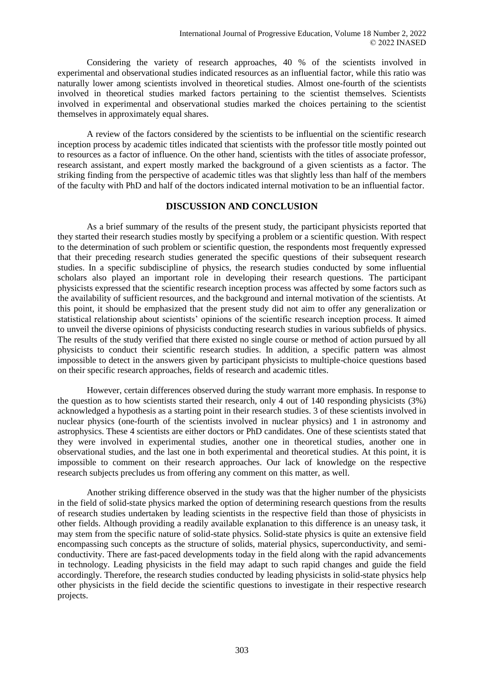Considering the variety of research approaches, 40 % of the scientists involved in experimental and observational studies indicated resources as an influential factor, while this ratio was naturally lower among scientists involved in theoretical studies. Almost one-fourth of the scientists involved in theoretical studies marked factors pertaining to the scientist themselves. Scientists involved in experimental and observational studies marked the choices pertaining to the scientist themselves in approximately equal shares.

A review of the factors considered by the scientists to be influential on the scientific research inception process by academic titles indicated that scientists with the professor title mostly pointed out to resources as a factor of influence. On the other hand, scientists with the titles of associate professor, research assistant, and expert mostly marked the background of a given scientists as a factor. The striking finding from the perspective of academic titles was that slightly less than half of the members of the faculty with PhD and half of the doctors indicated internal motivation to be an influential factor.

# **DISCUSSION AND CONCLUSION**

As a brief summary of the results of the present study, the participant physicists reported that they started their research studies mostly by specifying a problem or a scientific question. With respect to the determination of such problem or scientific question, the respondents most frequently expressed that their preceding research studies generated the specific questions of their subsequent research studies. In a specific subdiscipline of physics, the research studies conducted by some influential scholars also played an important role in developing their research questions. The participant physicists expressed that the scientific research inception process was affected by some factors such as the availability of sufficient resources, and the background and internal motivation of the scientists. At this point, it should be emphasized that the present study did not aim to offer any generalization or statistical relationship about scientists' opinions of the scientific research inception process. It aimed to unveil the diverse opinions of physicists conducting research studies in various subfields of physics. The results of the study verified that there existed no single course or method of action pursued by all physicists to conduct their scientific research studies. In addition, a specific pattern was almost impossible to detect in the answers given by participant physicists to multiple-choice questions based on their specific research approaches, fields of research and academic titles.

However, certain differences observed during the study warrant more emphasis. In response to the question as to how scientists started their research, only 4 out of 140 responding physicists (3%) acknowledged a hypothesis as a starting point in their research studies. 3 of these scientists involved in nuclear physics (one-fourth of the scientists involved in nuclear physics) and 1 in astronomy and astrophysics. These 4 scientists are either doctors or PhD candidates. One of these scientists stated that they were involved in experimental studies, another one in theoretical studies, another one in observational studies, and the last one in both experimental and theoretical studies. At this point, it is impossible to comment on their research approaches. Our lack of knowledge on the respective research subjects precludes us from offering any comment on this matter, as well.

Another striking difference observed in the study was that the higher number of the physicists in the field of solid-state physics marked the option of determining research questions from the results of research studies undertaken by leading scientists in the respective field than those of physicists in other fields. Although providing a readily available explanation to this difference is an uneasy task, it may stem from the specific nature of solid-state physics. Solid-state physics is quite an extensive field encompassing such concepts as the structure of solids, material physics, superconductivity, and semiconductivity. There are fast-paced developments today in the field along with the rapid advancements in technology. Leading physicists in the field may adapt to such rapid changes and guide the field accordingly. Therefore, the research studies conducted by leading physicists in solid-state physics help other physicists in the field decide the scientific questions to investigate in their respective research projects.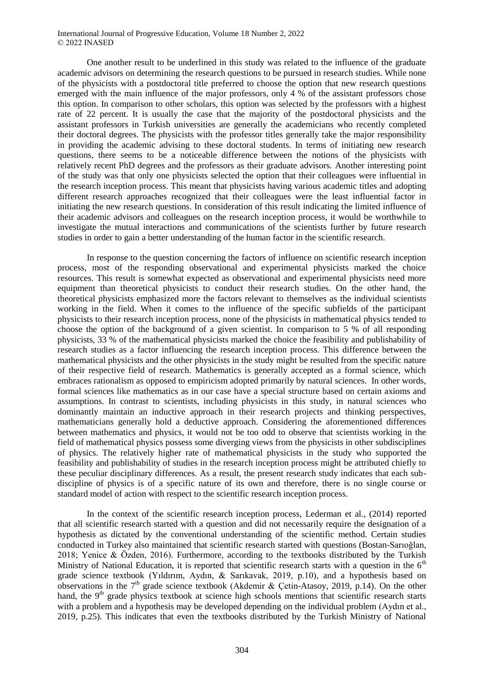One another result to be underlined in this study was related to the influence of the graduate academic advisors on determining the research questions to be pursued in research studies. While none of the physicists with a postdoctoral title preferred to choose the option that new research questions emerged with the main influence of the major professors, only 4 % of the assistant professors chose this option. In comparison to other scholars, this option was selected by the professors with a highest rate of 22 percent. It is usually the case that the majority of the postdoctoral physicists and the assistant professors in Turkish universities are generally the academicians who recently completed their doctoral degrees. The physicists with the professor titles generally take the major responsibility in providing the academic advising to these doctoral students. In terms of initiating new research questions, there seems to be a noticeable difference between the notions of the physicists with relatively recent PhD degrees and the professors as their graduate advisors. Another interesting point of the study was that only one physicists selected the option that their colleagues were influential in the research inception process. This meant that physicists having various academic titles and adopting different research approaches recognized that their colleagues were the least influential factor in initiating the new research questions. In consideration of this result indicating the limited influence of their academic advisors and colleagues on the research inception process, it would be worthwhile to investigate the mutual interactions and communications of the scientists further by future research studies in order to gain a better understanding of the human factor in the scientific research.

In response to the question concerning the factors of influence on scientific research inception process, most of the responding observational and experimental physicists marked the choice resources. This result is somewhat expected as observational and experimental physicists need more equipment than theoretical physicists to conduct their research studies. On the other hand, the theoretical physicists emphasized more the factors relevant to themselves as the individual scientists working in the field. When it comes to the influence of the specific subfields of the participant physicists to their research inception process, none of the physicists in mathematical physics tended to choose the option of the background of a given scientist. In comparison to 5 % of all responding physicists, 33 % of the mathematical physicists marked the choice the feasibility and publishability of research studies as a factor influencing the research inception process. This difference between the mathematical physicists and the other physicists in the study might be resulted from the specific nature of their respective field of research. Mathematics is generally accepted as a formal science, which embraces rationalism as opposed to empiricism adopted primarily by natural sciences. In other words, formal sciences like mathematics as in our case have a special structure based on certain axioms and assumptions. In contrast to scientists, including physicists in this study, in natural sciences who dominantly maintain an inductive approach in their research projects and thinking perspectives, mathematicians generally hold a deductive approach. Considering the aforementioned differences between mathematics and physics, it would not be too odd to observe that scientists working in the field of mathematical physics possess some diverging views from the physicists in other subdisciplines of physics. The relatively higher rate of mathematical physicists in the study who supported the feasibility and publishability of studies in the research inception process might be attributed chiefly to these peculiar disciplinary differences. As a result, the present research study indicates that each subdiscipline of physics is of a specific nature of its own and therefore, there is no single course or standard model of action with respect to the scientific research inception process.

In the context of the scientific research inception process, Lederman et al., (2014) reported that all scientific research started with a question and did not necessarily require the designation of a hypothesis as dictated by the conventional understanding of the scientific method. Certain studies conducted in Turkey also maintained that scientific research started with questions (Bostan-Sarıoğlan, 2018; Yenice & Özden, 2016). Furthermore, according to the textbooks distributed by the Turkish Ministry of National Education, it is reported that scientific research starts with a question in the  $6<sup>th</sup>$ grade science textbook (Yıldırım, Aydın, & Sarıkavak, 2019, p.10), and a hypothesis based on observations in the  $7<sup>th</sup>$  grade science textbook (Akdemir & Cetin-Atasoy, 2019, p.14). On the other hand, the 9<sup>th</sup> grade physics textbook at science high schools mentions that scientific research starts with a problem and a hypothesis may be developed depending on the individual problem (Aydın et al., 2019, p.25). This indicates that even the textbooks distributed by the Turkish Ministry of National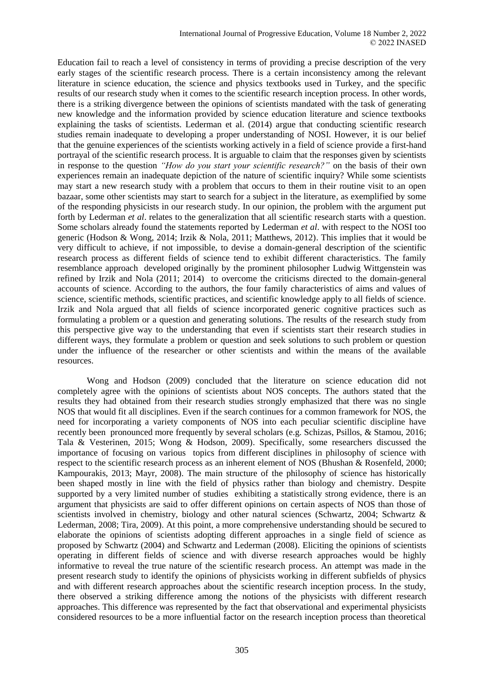Education fail to reach a level of consistency in terms of providing a precise description of the very early stages of the scientific research process. There is a certain inconsistency among the relevant literature in science education, the science and physics textbooks used in Turkey, and the specific results of our research study when it comes to the scientific research inception process. In other words, there is a striking divergence between the opinions of scientists mandated with the task of generating new knowledge and the information provided by science education literature and science textbooks explaining the tasks of scientists. Lederman et al. (2014) argue that conducting scientific research studies remain inadequate to developing a proper understanding of NOSI. However, it is our belief that the genuine experiences of the scientists working actively in a field of science provide a first-hand portrayal of the scientific research process. It is arguable to claim that the responses given by scientists in response to the question *"How do you start your scientific research?"* on the basis of their own experiences remain an inadequate depiction of the nature of scientific inquiry? While some scientists may start a new research study with a problem that occurs to them in their routine visit to an open bazaar, some other scientists may start to search for a subject in the literature, as exemplified by some of the responding physicists in our research study. In our opinion, the problem with the argument put forth by Lederman *et al*. relates to the generalization that all scientific research starts with a question. Some scholars already found the statements reported by Lederman *et al*. with respect to the NOSI too generic (Hodson & Wong, 2014; Irzik & Nola, 2011; Matthews, 2012). This implies that it would be very difficult to achieve, if not impossible, to devise a domain-general description of the scientific research process as different fields of science tend to exhibit different characteristics. The family resemblance approach developed originally by the prominent philosopher Ludwig Wittgenstein was refined by Irzik and Nola (2011; 2014) to overcome the criticisms directed to the domain-general accounts of science. According to the authors, the four family characteristics of aims and values of science, scientific methods, scientific practices, and scientific knowledge apply to all fields of science. Irzik and Nola argued that all fields of science incorporated generic cognitive practices such as formulating a problem or a question and generating solutions. The results of the research study from this perspective give way to the understanding that even if scientists start their research studies in different ways, they formulate a problem or question and seek solutions to such problem or question under the influence of the researcher or other scientists and within the means of the available resources.

Wong and Hodson (2009) concluded that the literature on science education did not completely agree with the opinions of scientists about NOS concepts. The authors stated that the results they had obtained from their research studies strongly emphasized that there was no single NOS that would fit all disciplines. Even if the search continues for a common framework for NOS, the need for incorporating a variety components of NOS into each peculiar scientific discipline have recently been pronounced more frequently by several scholars (e.g. Schizas, Psillos, & Stamou, 2016; Tala & Vesterinen, 2015; Wong & Hodson, 2009). Specifically, some researchers discussed the importance of focusing on various topics from different disciplines in philosophy of science with respect to the scientific research process as an inherent element of NOS (Bhushan & Rosenfeld, 2000; Kampourakis, 2013; Mayr, 2008). The main structure of the philosophy of science has historically been shaped mostly in line with the field of physics rather than biology and chemistry. Despite supported by a very limited number of studies exhibiting a statistically strong evidence, there is an argument that physicists are said to offer different opinions on certain aspects of NOS than those of scientists involved in chemistry, biology and other natural sciences (Schwartz, 2004; Schwartz & Lederman, 2008; Tira, 2009). At this point, a more comprehensive understanding should be secured to elaborate the opinions of scientists adopting different approaches in a single field of science as proposed by Schwartz (2004) and Schwartz and Lederman (2008). Eliciting the opinions of scientists operating in different fields of science and with diverse research approaches would be highly informative to reveal the true nature of the scientific research process. An attempt was made in the present research study to identify the opinions of physicists working in different subfields of physics and with different research approaches about the scientific research inception process. In the study, there observed a striking difference among the notions of the physicists with different research approaches. This difference was represented by the fact that observational and experimental physicists considered resources to be a more influential factor on the research inception process than theoretical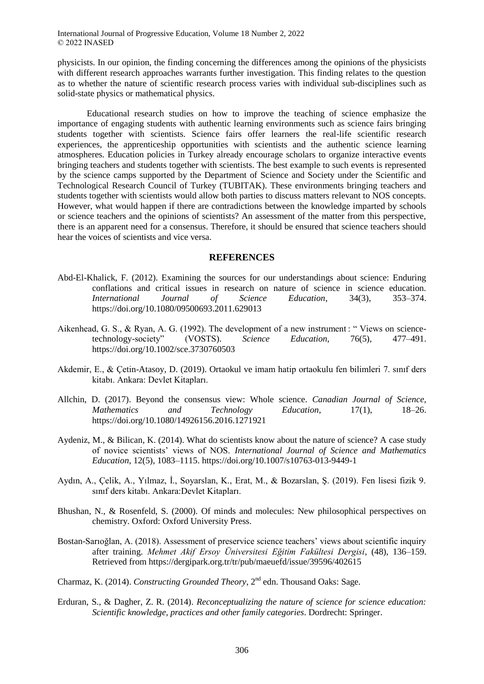physicists. In our opinion, the finding concerning the differences among the opinions of the physicists with different research approaches warrants further investigation. This finding relates to the question as to whether the nature of scientific research process varies with individual sub-disciplines such as solid-state physics or mathematical physics.

Educational research studies on how to improve the teaching of science emphasize the importance of engaging students with authentic learning environments such as science fairs bringing students together with scientists. Science fairs offer learners the real-life scientific research experiences, the apprenticeship opportunities with scientists and the authentic science learning atmospheres. Education policies in Turkey already encourage scholars to organize interactive events bringing teachers and students together with scientists. The best example to such events is represented by the science camps supported by the Department of Science and Society under the Scientific and Technological Research Council of Turkey (TUBITAK). These environments bringing teachers and students together with scientists would allow both parties to discuss matters relevant to NOS concepts. However, what would happen if there are contradictions between the knowledge imparted by schools or science teachers and the opinions of scientists? An assessment of the matter from this perspective, there is an apparent need for a consensus. Therefore, it should be ensured that science teachers should hear the voices of scientists and vice versa.

#### **REFERENCES**

- Abd-El-Khalick, F. (2012). Examining the sources for our understandings about science: Enduring conflations and critical issues in research on nature of science in science education. *International Journal of Science Education*, 34(3), 353–374. https://doi.org/10.1080/09500693.2011.629013
- Aikenhead, G. S., & Ryan, A. G. (1992). The development of a new instrument : "Views on sciencetechnology-society" (VOSTS). *Science Education*, 76(5), 477–491. https://doi.org/10.1002/sce.3730760503
- Akdemir, E., & Çetin-Atasoy, D. (2019). Ortaokul ve imam hatip ortaokulu fen bilimleri 7. sınıf ders kitabı. Ankara: Devlet Kitapları.
- Allchin, D. (2017). Beyond the consensus view: Whole science. *Canadian Journal of Science, Mathematics and Technology Education*, 17(1), 18–26. https://doi.org/10.1080/14926156.2016.1271921
- Aydeniz, M., & Bilican, K. (2014). What do scientists know about the nature of science? A case study of novice scientists' views of NOS. *International Journal of Science and Mathematics Education*, 12(5), 1083–1115. https://doi.org/10.1007/s10763-013-9449-1
- Aydın, A., Çelik, A., Yılmaz, İ., Soyarslan, K., Erat, M., & Bozarslan, Ş. (2019). Fen lisesi fizik 9. sınıf ders kitabı. Ankara:Devlet Kitapları.
- Bhushan, N., & Rosenfeld, S. (2000). Of minds and molecules: New philosophical perspectives on chemistry. Oxford: Oxford University Press.
- Bostan-Sarıoğlan, A. (2018). Assessment of preservice science teachers' views about scientific inquiry after training. *Mehmet Akif Ersoy Üniversitesi Eğitim Fakültesi Dergisi*, (48), 136–159. Retrieved from https://dergipark.org.tr/tr/pub/maeuefd/issue/39596/402615
- Charmaz, K. (2014). *Constructing Grounded Theory*, 2nd edn. Thousand Oaks: Sage.
- Erduran, S., & Dagher, Z. R. (2014). *Reconceptualizing the nature of science for science education: Scientific knowledge, practices and other family categories*. Dordrecht: Springer.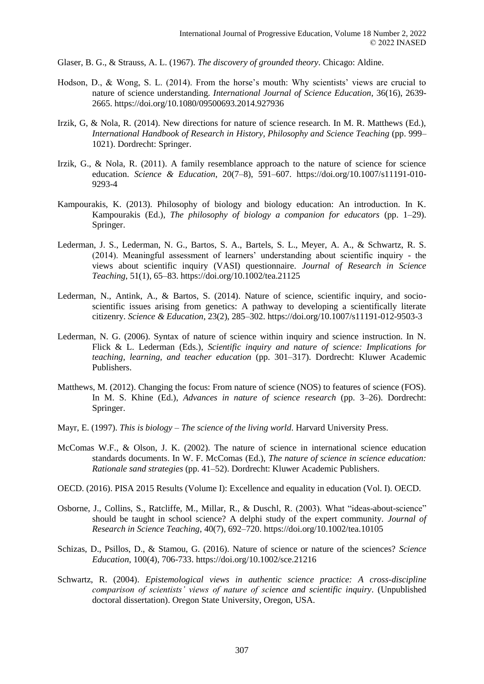Glaser, B. G., & Strauss, A. L. (1967). *The discovery of grounded theory*. Chicago: Aldine.

- Hodson, D., & Wong, S. L. (2014). From the horse's mouth: Why scientists' views are crucial to nature of science understanding. *International Journal of Science Education*, 36(16), 2639- 2665. https://doi.org/10.1080/09500693.2014.927936
- Irzik, G, & Nola, R. (2014). New directions for nature of science research. In M. R. Matthews (Ed.), *International Handbook of Research in History, Philosophy and Science Teaching* (pp. 999– 1021). Dordrecht: Springer.
- Irzik, G., & Nola, R. (2011). A family resemblance approach to the nature of science for science education. *Science & Education*, 20(7–8), 591–607. https://doi.org/10.1007/s11191-010- 9293-4
- Kampourakis, K. (2013). Philosophy of biology and biology education: An introduction. In K. Kampourakis (Ed.), *The philosophy of biology a companion for educators* (pp. 1–29). Springer.
- Lederman, J. S., Lederman, N. G., Bartos, S. A., Bartels, S. L., Meyer, A. A., & Schwartz, R. S. (2014). Meaningful assessment of learners' understanding about scientific inquiry - the views about scientific inquiry (VASI) questionnaire. *Journal of Research in Science Teaching*, 51(1), 65–83. https://doi.org/10.1002/tea.21125
- Lederman, N., Antink, A., & Bartos, S. (2014). Nature of science, scientific inquiry, and socioscientific issues arising from genetics: A pathway to developing a scientifically literate citizenry. *Science & Education*, 23(2), 285–302. https://doi.org/10.1007/s11191-012-9503-3
- Lederman, N. G. (2006). Syntax of nature of science within inquiry and science instruction. In N. Flick & L. Lederman (Eds.), *Scientific inquiry and nature of science: Implications for teaching, learning, and teacher education* (pp. 301–317). Dordrecht: Kluwer Academic Publishers.
- Matthews, M. (2012). Changing the focus: From nature of science (NOS) to features of science (FOS). In M. S. Khine (Ed.), *Advances in nature of science research* (pp. 3–26). Dordrecht: Springer.
- Mayr, E. (1997). *This is biology – The science of the living world*. Harvard University Press.
- McComas W.F., & Olson, J. K. (2002). The nature of science in international science education standards documents. In W. F. McComas (Ed.), *The nature of science in science education: Rationale sand strategies* (pp. 41–52). Dordrecht: Kluwer Academic Publishers.
- OECD. (2016). PISA 2015 Results (Volume I): Excellence and equality in education (Vol. I). OECD.
- Osborne, J., Collins, S., Ratcliffe, M., Millar, R., & Duschl, R. (2003). What "ideas-about-science" should be taught in school science? A delphi study of the expert community. *Journal of Research in Science Teaching*, 40(7), 692–720. https://doi.org/10.1002/tea.10105
- Schizas, D., Psillos, D., & Stamou, G. (2016). Nature of science or nature of the sciences? *Science Education*, 100(4), 706-733. https://doi.org/10.1002/sce.21216
- Schwartz, R. (2004). *Epistemological views in authentic science practice: A cross-discipline comparison of scientists' views of nature of science and scientific inquiry*. (Unpublished doctoral dissertation). Oregon State University, Oregon, USA.